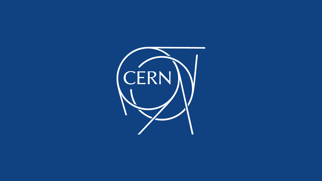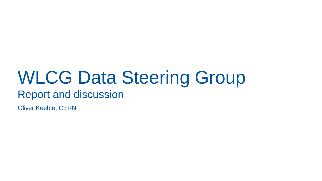#### WLCG Data Steering Group Report and discussion

Oliver Keeble, CERN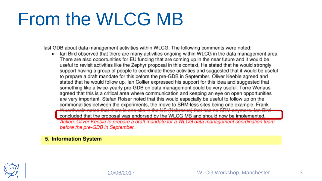## From the WLCG MB

last GDB about data management activities within WLCG. The following comments were noted:

Ian Bird observed that there are many activities ongoing within WLCG in the data management area. There are also opportunities for EU funding that are coming up in the near future and it would be useful to revisit activities like the Zephyr proposal in this context. He stated that he would strongly support having a group of people to coordinate these activities and suggested that it would be useful to prepare a draft mandate for this before the pre-GDB in September. Oliver Keeble agreed and stated that he would follow up. Ian Collier expressed his support for this idea and suggested that something like a twice-yearly pre-GDB on data management could be very useful. Torre Wenaus agreed that this is a critical area where communication and keeping an eye on open opportunities are very important. Stefan Roiser noted that this would especially be useful to follow up on the commonalities between the experiments, the move to SRM-less sites being one example. Frank

in the US (Nebreake) that has no SDM enjoy concluded that the proposal was endorsed by the WLCG MB and should now be implemented Action: Oliver Keeble to prepare a draft mandate for a WLCG data management coordination team before the pre-GDB in September.

#### **5. Information System**

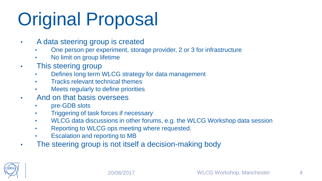# Original Proposal

- A data steering group is created
	- One person per experiment, storage provider, 2 or 3 for infrastructure
	- No limit on group lifetime
- This steering group
	- Defines long term WLCG strategy for data management
	- Tracks relevant technical themes
	- Meets regularly to define priorities
- And on that basis oversees
	- pre-GDB slots
	- Triggering of task forces if necessary
	- WLCG data discussions in other forums, e.g. the WLCG Workshop data session
	- Reporting to WLCG ops meeting where requested.
	- **Escalation and reporting to MB**
- The steering group is not itself a decision-making body

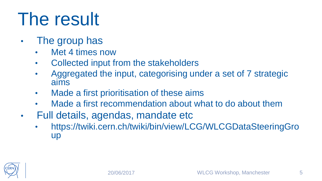# The result

- The group has
	- Met 4 times now
	- Collected input from the stakeholders
	- Aggregated the input, categorising under a set of 7 strategic aims
	- Made a first prioritisation of these aims
	- Made a first recommendation about what to do about them
- Full details, agendas, mandate etc
	- https://twiki.cern.ch/twiki/bin/view/LCG/WLCGDataSteeringGro up

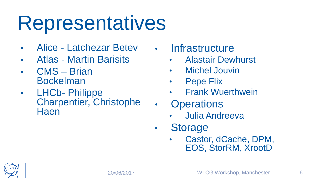# **Representatives**

- Alice Latchezar Betev
- Atlas Martin Barisits
- CMS Brian Bockelman
- LHCb- Philippe Charpentier, Christophe **Haen**
- Infrastructure
	- Alastair Dewhurst
	- Michel Jouvin
	- Pepe Flix
	- **Frank Wuerthwein**
	- **Operations** 
		- Julia Andreeva
- Storage
	- Castor, dCache, DPM, EOS, StorRM, XrootD

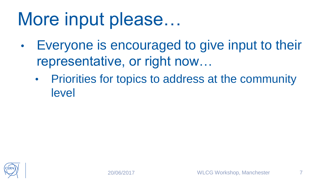#### More input please…

- Everyone is encouraged to give input to their representative, or right now…
	- Priorities for topics to address at the community level

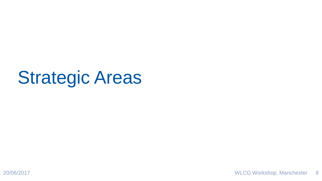#### Strategic Areas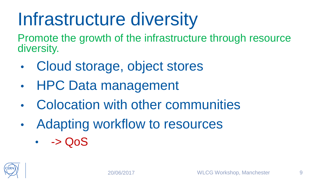# Infrastructure diversity

Promote the growth of the infrastructure through resource diversity.

- Cloud storage, object stores
- HPC Data management
- Colocation with other communities
- Adapting workflow to resources
	- $\cdot \quad -> Q_0S$

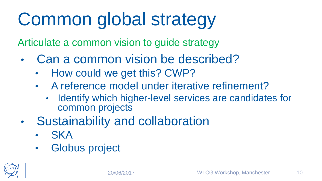# Common global strategy

Articulate a common vision to guide strategy

- Can a common vision be described?
	- How could we get this? CWP?
	- A reference model under iterative refinement?
		- Identify which higher-level services are candidates for common projects
- Sustainability and collaboration
	- **SKA**
	- Globus project

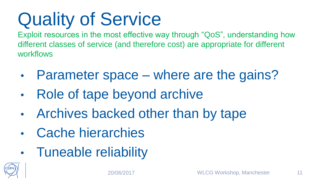# Quality of Service

Exploit resources in the most effective way through "QoS", understanding how different classes of service (and therefore cost) are appropriate for different workflows

- Parameter space where are the gains?
- Role of tape beyond archive
- Archives backed other than by tape
- Cache hierarchies
- Tuneable reliability

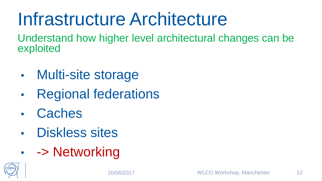### Infrastructure Architecture

Understand how higher level architectural changes can be exploited

- Multi-site storage
- Regional federations
- **Caches**
- Diskless sites
- - > Networking

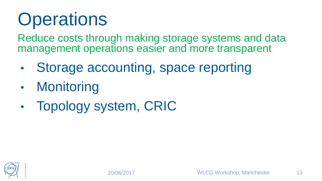# **Operations**

Reduce costs through making storage systems and data management operations easier and more transparent

- Storage accounting, space reporting
- **Monitoring**
- Topology system, CRIC

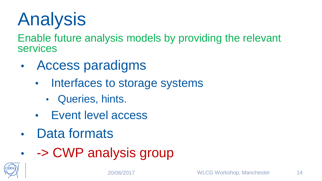# Analysis

Enable future analysis models by providing the relevant services

- Access paradigms
	- Interfaces to storage systems
		- Queries, hints.
	- Event level access
- Data formats
- - > CWP analysis group

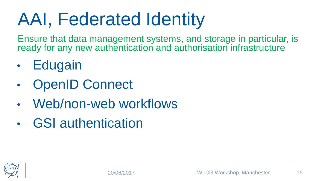# AAI, Federated Identity

Ensure that data management systems, and storage in particular, is ready for any new authentication and authorisation infrastructure

- **Edugain**
- **OpenID Connect**
- Web/non-web workflows
- GSI authentication

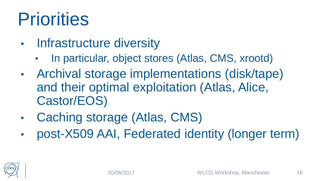# **Priorities**

- **Infrastructure diversity** 
	- In particular, object stores (Atlas, CMS, xrootd)
- Archival storage implementations (disk/tape) and their optimal exploitation (Atlas, Alice, Castor/EOS)
- Caching storage (Atlas, CMS)
- post-X509 AAI, Federated identity (longer term)